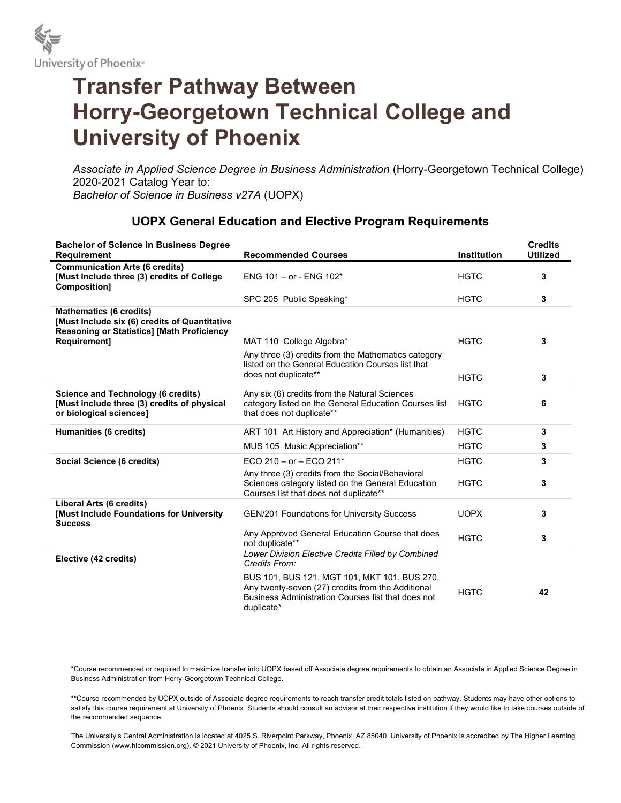

## Transfer Pathway Between Horry-Georgetown Technical College and University of Phoenix

Associate in Applied Science Degree in Business Administration (Horry-Georgetown Technical College) 2020-2021 Catalog Year to: Bachelor of Science in Business v27A (UOPX)

## UOPX General Education and Elective Program Requirements

| <b>Bachelor of Science in Business Degree</b><br>Requirement                                                                         | <b>Recommended Courses</b>                                                                                                                                            | <b>Institution</b> | <b>Credits</b><br><b>Utilized</b> |
|--------------------------------------------------------------------------------------------------------------------------------------|-----------------------------------------------------------------------------------------------------------------------------------------------------------------------|--------------------|-----------------------------------|
| <b>Communication Arts (6 credits)</b><br>[Must Include three (3) credits of College<br>Composition]                                  | ENG 101 - or - ENG 102*                                                                                                                                               | <b>HGTC</b>        | 3                                 |
|                                                                                                                                      | SPC 205 Public Speaking*                                                                                                                                              | <b>HGTC</b>        | 3                                 |
| <b>Mathematics (6 credits)</b><br>[Must Include six (6) credits of Quantitative<br><b>Reasoning or Statistics] [Math Proficiency</b> |                                                                                                                                                                       |                    |                                   |
| Requirement]                                                                                                                         | MAT 110 College Algebra*                                                                                                                                              | <b>HGTC</b>        | 3                                 |
|                                                                                                                                      | Any three (3) credits from the Mathematics category<br>listed on the General Education Courses list that<br>does not duplicate**                                      |                    |                                   |
|                                                                                                                                      |                                                                                                                                                                       | <b>HGTC</b>        | 3                                 |
| Science and Technology (6 credits)<br>[Must include three (3) credits of physical<br>or biological sciences]                         | Any six (6) credits from the Natural Sciences<br>category listed on the General Education Courses list<br>that does not duplicate**                                   | <b>HGTC</b>        | 6                                 |
| Humanities (6 credits)                                                                                                               | ART 101 Art History and Appreciation* (Humanities)                                                                                                                    | <b>HGTC</b>        | 3                                 |
|                                                                                                                                      | MUS 105 Music Appreciation**                                                                                                                                          | <b>HGTC</b>        | 3                                 |
| <b>Social Science (6 credits)</b>                                                                                                    | ECO 210 - or - ECO 211*                                                                                                                                               | <b>HGTC</b>        | 3                                 |
|                                                                                                                                      | Any three (3) credits from the Social/Behavioral<br>Sciences category listed on the General Education<br>Courses list that does not duplicate**                       | <b>HGTC</b>        | 3                                 |
| Liberal Arts (6 credits)<br>[Must Include Foundations for University<br><b>Success</b>                                               | <b>GEN/201 Foundations for University Success</b>                                                                                                                     | <b>UOPX</b>        | 3                                 |
|                                                                                                                                      | Any Approved General Education Course that does<br>not duplicate**                                                                                                    | <b>HGTC</b>        | 3                                 |
| Elective (42 credits)                                                                                                                | Lower Division Elective Credits Filled by Combined<br>Credits From:                                                                                                   |                    |                                   |
|                                                                                                                                      | BUS 101, BUS 121, MGT 101, MKT 101, BUS 270,<br>Any twenty-seven (27) credits from the Additional<br>Business Administration Courses list that does not<br>duplicate* | <b>HGTC</b>        | 42                                |

\*Course recommended or required to maximize transfer into UOPX based off Associate degree requirements to obtain an Associate in Applied Science Degree in Business Administration from Horry-Georgetown Technical College.

\*\*Course recommended by UOPX outside of Associate degree requirements to reach transfer credit totals listed on pathway. Students may have other options to satisfy this course requirement at University of Phoenix. Students should consult an advisor at their respective institution if they would like to take courses outside of the recommended sequence.

The University's Central Administration is located at 4025 S. Riverpoint Parkway, Phoenix, AZ 85040. University of Phoenix is accredited by The Higher Learning Commission (www.hlcommission.org). © 2021 University of Phoenix, Inc. All rights reserved.